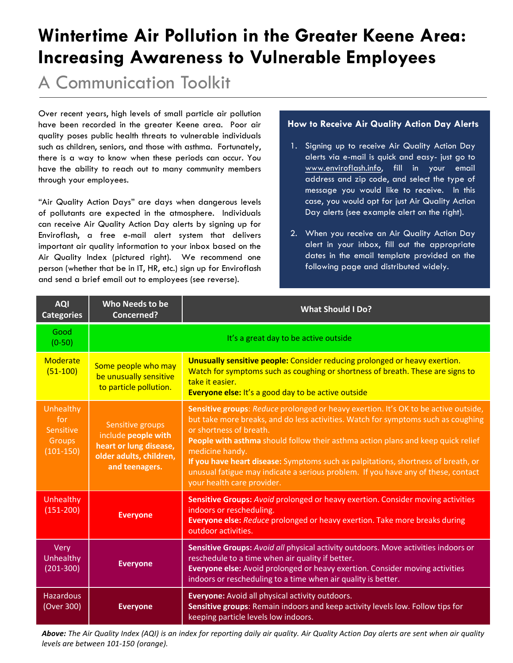# **Wintertime Air Pollution in the Greater Keene Area: Increasing Awareness to Vulnerable Employees**

A Communication Toolkit

Over recent years, high levels of small particle air pollution have been recorded in the greater Keene area. Poor air quality poses public health threats to vulnerable individuals such as children, seniors, and those with asthma. Fortunately, there is a way to know when these periods can occur. You have the ability to reach out to many community members through your employees.

"Air Quality Action Days" are days when dangerous levels of pollutants are expected in the atmosphere. Individuals can receive Air Quality Action Day alerts by signing up for Enviroflash, a free e-mail alert system that delivers important air quality information to your inbox based on the Air Quality Index (pictured right). We recommend one person (whether that be in IT, HR, etc.) sign up for Enviroflash and send a brief email out to employees (see reverse).

#### **How to Receive Air Quality Action Day Alerts**

- 1. Signing up to receive Air Quality Action Day alerts via e-mail is quick and easy- just go to www.enviroflash.info, fill in your email address and zip code, and select the type of message you would like to receive. In this case, you would opt for just Air Quality Action Day alerts (see example alert on the right).
- 2. When you receive an Air Quality Action Day alert in your inbox, fill out the appropriate dates in the email template provided on the following page and distributed widely.

| <b>AQI</b><br><b>Categories</b>                        | Who Needs to be<br><b>Concerned?</b>                                                                           | <b>What Should I Do?</b>                                                                                                                                                                                                                                                                                                                                                                                                                                                                                           |
|--------------------------------------------------------|----------------------------------------------------------------------------------------------------------------|--------------------------------------------------------------------------------------------------------------------------------------------------------------------------------------------------------------------------------------------------------------------------------------------------------------------------------------------------------------------------------------------------------------------------------------------------------------------------------------------------------------------|
| Good<br>$(0-50)$                                       |                                                                                                                | It's a great day to be active outside                                                                                                                                                                                                                                                                                                                                                                                                                                                                              |
| Moderate<br>$(51-100)$                                 | Some people who may<br>be unusually sensitive<br>to particle pollution.                                        | Unusually sensitive people: Consider reducing prolonged or heavy exertion.<br>Watch for symptoms such as coughing or shortness of breath. These are signs to<br>take it easier.<br>Everyone else: It's a good day to be active outside                                                                                                                                                                                                                                                                             |
| Unhealthy<br>for<br>Sensitive<br>Groups<br>$(101-150)$ | Sensitive groups<br>include people with<br>heart or lung disease,<br>older adults, children,<br>and teenagers. | Sensitive groups: Reduce prolonged or heavy exertion. It's OK to be active outside,<br>but take more breaks, and do less activities. Watch for symptoms such as coughing<br>or shortness of breath.<br>People with asthma should follow their asthma action plans and keep quick relief<br>medicine handy.<br>If you have heart disease: Symptoms such as palpitations, shortness of breath, or<br>unusual fatigue may indicate a serious problem. If you have any of these, contact<br>your health care provider. |
| Unhealthy<br>$(151 - 200)$                             | <b>Everyone</b>                                                                                                | Sensitive Groups: Avoid prolonged or heavy exertion. Consider moving activities<br>indoors or rescheduling.<br>Everyone else: Reduce prolonged or heavy exertion. Take more breaks during<br>outdoor activities.                                                                                                                                                                                                                                                                                                   |
| Very<br>Unhealthy<br>$(201 - 300)$                     | <b>Everyone</b>                                                                                                | <b>Sensitive Groups:</b> Avoid all physical activity outdoors. Move activities indoors or<br>reschedule to a time when air quality if better.<br>Everyone else: Avoid prolonged or heavy exertion. Consider moving activities<br>indoors or rescheduling to a time when air quality is better.                                                                                                                                                                                                                     |
| <b>Hazardous</b><br>(Over 300)                         | <b>Everyone</b>                                                                                                | <b>Everyone:</b> Avoid all physical activity outdoors.<br>Sensitive groups: Remain indoors and keep activity levels low. Follow tips for<br>keeping particle levels low indoors.                                                                                                                                                                                                                                                                                                                                   |

Above: The Air Quality Index (AQI) is an index for reporting daily air quality. Air Quality Action Day alerts are sent when air quality *levels are between 101-150 (orange).*